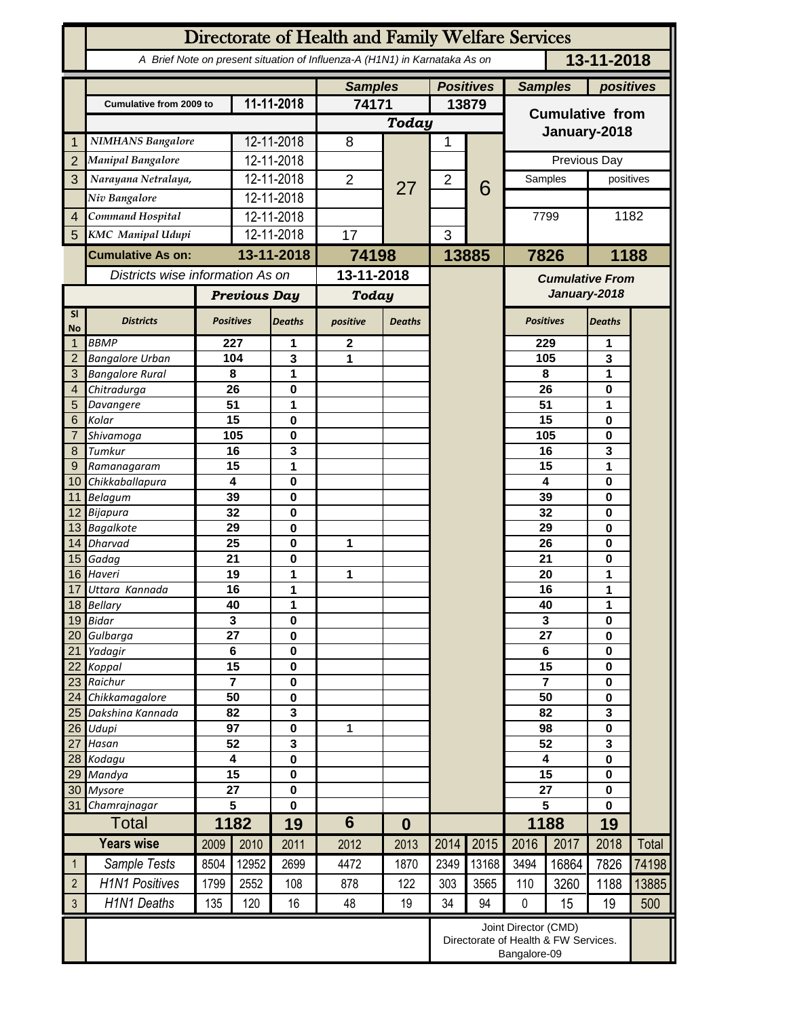|                     | Directorate of Health and Family Welfare Services                                        |                                   |                              |                            |                |                |                |                                                                              |                                   |                         |                   |       |  |
|---------------------|------------------------------------------------------------------------------------------|-----------------------------------|------------------------------|----------------------------|----------------|----------------|----------------|------------------------------------------------------------------------------|-----------------------------------|-------------------------|-------------------|-------|--|
|                     | 13-11-2018<br>A Brief Note on present situation of Influenza-A (H1N1) in Karnataka As on |                                   |                              |                            |                |                |                |                                                                              |                                   |                         |                   |       |  |
|                     |                                                                                          |                                   |                              |                            |                | <b>Samples</b> |                | <b>Positives</b>                                                             | <b>Samples</b>                    |                         | positives         |       |  |
|                     | <b>Cumulative from 2009 to</b>                                                           | 11-11-2018                        |                              |                            | 74171          |                | 13879          |                                                                              | <b>Cumulative from</b>            |                         |                   |       |  |
|                     |                                                                                          |                                   |                              | Today                      |                |                |                | January-2018                                                                 |                                   |                         |                   |       |  |
| 1                   | <b>NIMHANS Bangalore</b>                                                                 |                                   | 12-11-2018                   |                            | 8              |                | 1              |                                                                              |                                   |                         |                   |       |  |
| $\overline{2}$      | Manipal Bangalore                                                                        |                                   | 12-11-2018                   |                            |                |                |                |                                                                              | Previous Day                      |                         |                   |       |  |
| 3                   | Narayana Netralaya,                                                                      |                                   |                              | 12-11-2018                 | $\overline{2}$ | 27             | $\overline{2}$ | 6                                                                            | Samples                           |                         | positives         |       |  |
|                     | Niv Bangalore                                                                            |                                   |                              | 12-11-2018                 |                |                |                |                                                                              |                                   |                         |                   |       |  |
| $\overline{4}$      | Command Hospital                                                                         |                                   |                              | 12-11-2018                 |                |                |                |                                                                              | 7799                              |                         |                   | 1182  |  |
| 5                   | <b>KMC</b> Manipal Udupi                                                                 |                                   | 12-11-2018                   |                            | 17             |                | 3              |                                                                              |                                   |                         |                   |       |  |
|                     | <b>Cumulative As on:</b>                                                                 |                                   | 13-11-2018                   |                            | 74198          |                | 13885          | 7826                                                                         |                                   |                         | 1188              |       |  |
|                     | Districts wise information As on                                                         |                                   |                              | 13-11-2018                 |                |                |                | <b>Cumulative From</b><br>January-2018                                       |                                   |                         |                   |       |  |
|                     |                                                                                          | <b>Previous Day</b>               |                              | <b>Today</b>               |                |                |                |                                                                              |                                   |                         |                   |       |  |
| SI<br><b>No</b>     | <b>Districts</b>                                                                         | <b>Positives</b>                  |                              | <b>Deaths</b>              | positive       | <b>Deaths</b>  |                |                                                                              | <b>Positives</b>                  |                         | <b>Deaths</b>     |       |  |
| 1                   | <b>BBMP</b>                                                                              |                                   | 227                          | 1                          | $\mathbf 2$    |                |                |                                                                              |                                   | 229                     | 1                 |       |  |
| $\overline{2}$      | <b>Bangalore Urban</b>                                                                   |                                   | 3<br>104                     |                            | 1              |                |                |                                                                              |                                   | 105                     | 3                 |       |  |
| 3<br>$\overline{4}$ | <b>Bangalore Rural</b><br>Chitradurga                                                    |                                   | 8<br>26                      | 1<br>0                     |                |                |                |                                                                              | 8<br>26                           |                         | 1<br>0            |       |  |
| 5                   | Davangere                                                                                |                                   | 1<br>51                      |                            |                |                |                |                                                                              | 51                                |                         | 1                 |       |  |
| 6                   | Kolar                                                                                    |                                   | 15                           | 0                          |                |                |                |                                                                              |                                   | 15                      | 0                 |       |  |
|                     | Shivamoga                                                                                |                                   | 105                          | 0                          |                |                |                |                                                                              |                                   | 105                     | 0                 |       |  |
| 8                   | Tumkur                                                                                   |                                   | 16                           | 3                          |                |                |                |                                                                              |                                   | 16                      | 3                 |       |  |
| 9<br>10             | Ramanagaram                                                                              |                                   | 15<br>4                      | 1<br>0                     |                |                |                |                                                                              |                                   | 15<br>4                 | 1<br>0            |       |  |
| 11                  | Chikkaballapura<br><b>Belagum</b>                                                        |                                   | 39                           | 0                          |                |                |                |                                                                              |                                   | 39                      | 0                 |       |  |
| 12                  | Bijapura                                                                                 |                                   | 32                           | 0                          |                |                |                |                                                                              | 32                                |                         | 0                 |       |  |
| 13                  | <b>Bagalkote</b>                                                                         | 29                                |                              | 0                          |                |                |                |                                                                              | 29                                |                         | 0                 |       |  |
| 14                  | <b>Dharvad</b>                                                                           |                                   | 25                           | 0                          | 1              |                |                |                                                                              | 26                                |                         | 0                 |       |  |
| 15<br>16            | Gadag<br>Haveri                                                                          |                                   | 21<br>19                     | 0<br>1                     | 1              |                |                |                                                                              | 21                                |                         | 0<br>1            |       |  |
| 17                  | Uttara Kannada                                                                           |                                   | 16                           | 1                          |                |                |                |                                                                              | 20<br>16                          |                         | 1                 |       |  |
| 18 <sup>1</sup>     | <b>Bellary</b>                                                                           |                                   | 40                           | 1                          |                |                |                |                                                                              | 40                                |                         | 1                 |       |  |
| 19                  | <b>Bidar</b>                                                                             |                                   | $\overline{\mathbf{3}}$<br>0 |                            |                |                |                |                                                                              |                                   | $\overline{\mathbf{3}}$ | 0                 |       |  |
| 20                  | Gulbarga                                                                                 |                                   | $\overline{27}$              | 0                          |                |                |                |                                                                              | $\overline{27}$<br>$\overline{6}$ |                         | 0                 |       |  |
| 21<br>22            | Yadagir<br>Koppal                                                                        | $\overline{6}$<br>$\overline{15}$ |                              | $\mathbf 0$<br>$\mathbf 0$ |                |                |                |                                                                              | $\overline{15}$                   |                         | 0<br>0            |       |  |
| 23                  | Raichur                                                                                  | $\overline{7}$                    |                              | $\mathbf 0$                |                |                |                |                                                                              | $\overline{7}$                    |                         | 0                 |       |  |
| 24                  | Chikkamagalore                                                                           |                                   | 50                           |                            |                |                |                |                                                                              | 50                                |                         | 0                 |       |  |
| 25                  | Dakshina Kannada                                                                         | 82                                |                              | $\overline{\mathbf{3}}$    |                |                |                |                                                                              | 82                                |                         | $\mathbf{3}$<br>0 |       |  |
| 26                  | Udupi                                                                                    | 97<br>52                          |                              | 0                          | 1              |                |                |                                                                              |                                   | 98<br>52                |                   |       |  |
| 27<br>28            | Hasan<br>Kodagu                                                                          | 4                                 |                              | 3<br>0                     |                |                |                |                                                                              |                                   | $\overline{\mathbf{4}}$ |                   |       |  |
| 29                  | Mandya                                                                                   | $\overline{15}$                   |                              | 0                          |                |                |                |                                                                              | $\overline{15}$                   |                         | 0<br>0            |       |  |
| 30 <sup>°</sup>     | <b>Mysore</b>                                                                            | $\overline{27}$                   |                              | $\mathbf 0$                |                |                |                |                                                                              | $\overline{27}$                   |                         | 0                 |       |  |
| 31                  | Chamrajnagar                                                                             |                                   | 5                            | $\mathbf 0$                |                |                |                |                                                                              | $\overline{5}$                    |                         | $\mathbf 0$       |       |  |
|                     | <b>Total</b>                                                                             |                                   | 1182                         | 19                         | $6\phantom{1}$ | $\bf{0}$       |                |                                                                              |                                   | 1188                    | 19                |       |  |
|                     | <b>Years wise</b>                                                                        | 2009                              | 2010                         | 2011                       | 2012           | 2013           | 2014           | 2015                                                                         | 2016                              | 2017                    | 2018              | Total |  |
| 1                   | Sample Tests                                                                             | 8504                              | 12952                        | 2699                       | 4472           | 1870           | 2349           | 13168                                                                        | 3494                              | 16864                   | 7826              | 74198 |  |
| $\overline{2}$      | <b>H1N1 Positives</b>                                                                    | 1799                              | 2552                         | 108                        | 878            | 122            | 303            | 3565                                                                         | 110                               | 3260                    | 1188              | 13885 |  |
| $\mathfrak{Z}$      | H1N1 Deaths                                                                              | 135                               | 120                          | 16                         | 48             | 19             | 34             | 94                                                                           | $\pmb{0}$                         | 15                      | 19                | 500   |  |
|                     |                                                                                          |                                   |                              |                            |                |                |                | Joint Director (CMD)<br>Directorate of Health & FW Services.<br>Bangalore-09 |                                   |                         |                   |       |  |